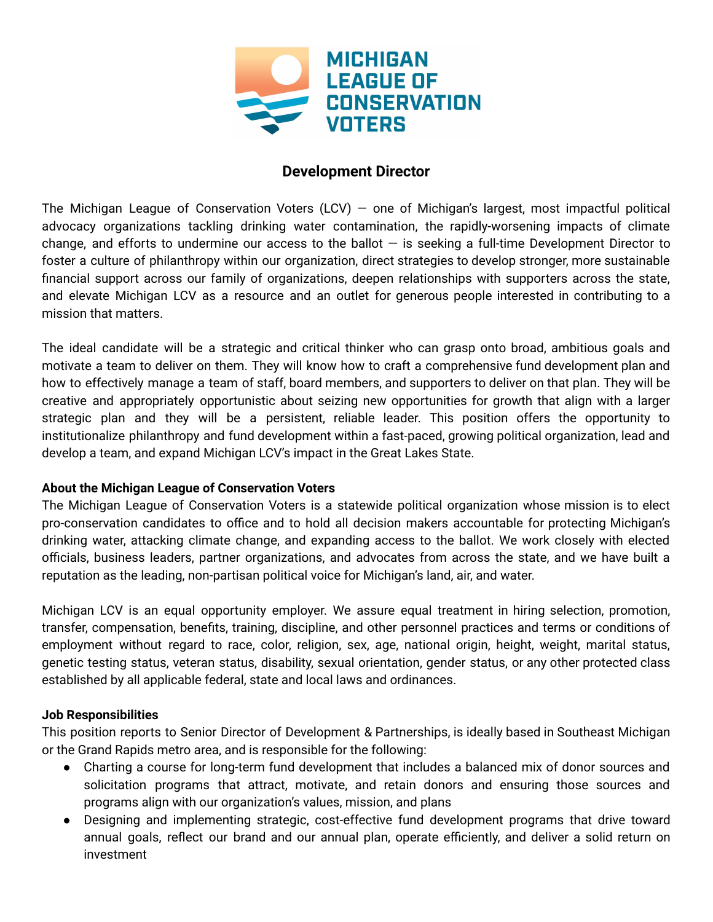

# **Development Director**

The Michigan League of Conservation Voters (LCV) – one of Michigan's largest, most impactful political advocacy organizations tackling drinking water contamination, the rapidly-worsening impacts of climate change, and efforts to undermine our access to the ballot  $-$  is seeking a full-time Development Director to foster a culture of philanthropy within our organization, direct strategies to develop stronger, more sustainable financial support across our family of organizations, deepen relationships with supporters across the state, and elevate Michigan LCV as a resource and an outlet for generous people interested in contributing to a mission that matters.

The ideal candidate will be a strategic and critical thinker who can grasp onto broad, ambitious goals and motivate a team to deliver on them. They will know how to craft a comprehensive fund development plan and how to effectively manage a team of staff, board members, and supporters to deliver on that plan. They will be creative and appropriately opportunistic about seizing new opportunities for growth that align with a larger strategic plan and they will be a persistent, reliable leader. This position offers the opportunity to institutionalize philanthropy and fund development within a fast-paced, growing political organization, lead and develop a team, and expand Michigan LCV's impact in the Great Lakes State.

## **About the Michigan League of Conservation Voters**

The Michigan League of Conservation Voters is a statewide political organization whose mission is to elect pro-conservation candidates to office and to hold all decision makers accountable for protecting Michigan's drinking water, attacking climate change, and expanding access to the ballot. We work closely with elected officials, business leaders, partner organizations, and advocates from across the state, and we have built a reputation as the leading, non-partisan political voice for Michigan's land, air, and water.

Michigan LCV is an equal opportunity employer. We assure equal treatment in hiring selection, promotion, transfer, compensation, benefits, training, discipline, and other personnel practices and terms or conditions of employment without regard to race, color, religion, sex, age, national origin, height, weight, marital status, genetic testing status, veteran status, disability, sexual orientation, gender status, or any other protected class established by all applicable federal, state and local laws and ordinances.

## **Job Responsibilities**

This position reports to Senior Director of Development & Partnerships, is ideally based in Southeast Michigan or the Grand Rapids metro area, and is responsible for the following:

- Charting a course for long-term fund development that includes a balanced mix of donor sources and solicitation programs that attract, motivate, and retain donors and ensuring those sources and programs align with our organization's values, mission, and plans
- Designing and implementing strategic, cost-effective fund development programs that drive toward annual goals, reflect our brand and our annual plan, operate efficiently, and deliver a solid return on investment